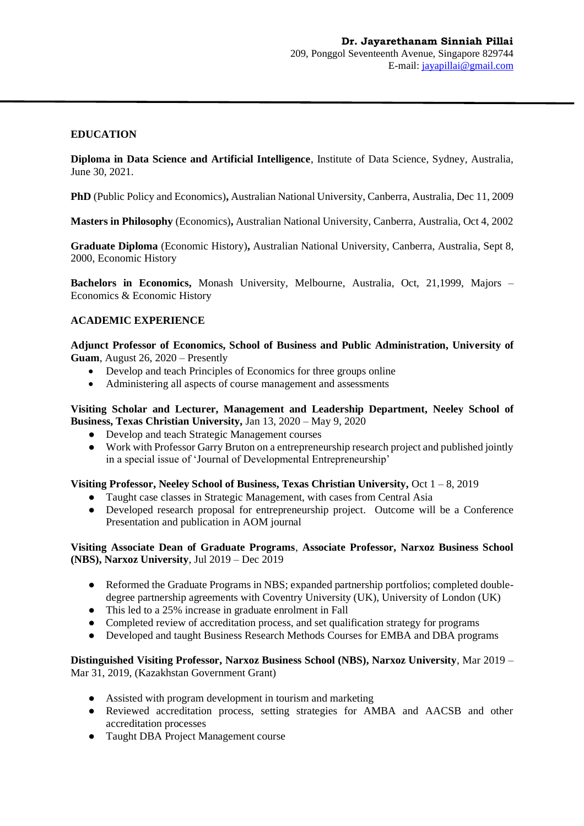# **EDUCATION**

**Diploma in Data Science and Artificial Intelligence**, Institute of Data Science, Sydney, Australia, June 30, 2021.

**PhD** (Public Policy and Economics)**,** Australian National University, Canberra, Australia, Dec 11, 2009

**Masters in Philosophy** (Economics)**,** Australian National University, Canberra, Australia, Oct 4, 2002

**Graduate Diploma** (Economic History)**,** Australian National University, Canberra, Australia, Sept 8, 2000, Economic History

**Bachelors in Economics,** Monash University, Melbourne, Australia, Oct, 21,1999, Majors – Economics & Economic History

#### **ACADEMIC EXPERIENCE**

**Adjunct Professor of Economics, School of Business and Public Administration, University of Guam**, August 26, 2020 – Presently

- Develop and teach Principles of Economics for three groups online
- Administering all aspects of course management and assessments

**Visiting Scholar and Lecturer, Management and Leadership Department, Neeley School of Business, Texas Christian University,** Jan 13, 2020 – May 9, 2020

- Develop and teach Strategic Management courses
- Work with Professor Garry Bruton on a entrepreneurship research project and published jointly in a special issue of 'Journal of Developmental Entrepreneurship'

#### **Visiting Professor, Neeley School of Business, Texas Christian University,** Oct 1 – 8, 2019

- Taught case classes in Strategic Management, with cases from Central Asia
- Developed research proposal for entrepreneurship project. Outcome will be a Conference Presentation and publication in AOM journal

#### **Visiting Associate Dean of Graduate Programs**, **Associate Professor, Narxoz Business School (NBS), Narxoz University**, Jul 2019 – Dec 2019

- Reformed the Graduate Programs in NBS; expanded partnership portfolios; completed doubledegree partnership agreements with Coventry University (UK), University of London (UK)
- This led to a 25% increase in graduate enrolment in Fall
- Completed review of accreditation process, and set qualification strategy for programs
- Developed and taught Business Research Methods Courses for EMBA and DBA programs

### **Distinguished Visiting Professor, Narxoz Business School (NBS), Narxoz University**, Mar 2019 – Mar 31, 2019, (Kazakhstan Government Grant)

- Assisted with program development in tourism and marketing
- Reviewed accreditation process, setting strategies for AMBA and AACSB and other accreditation processes
- Taught DBA Project Management course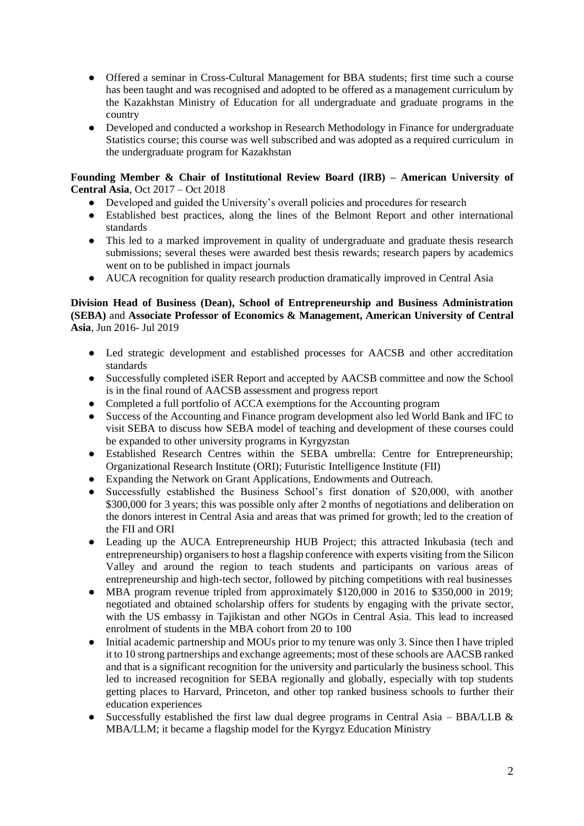- Offered a seminar in Cross-Cultural Management for BBA students; first time such a course has been taught and was recognised and adopted to be offered as a management curriculum by the Kazakhstan Ministry of Education for all undergraduate and graduate programs in the country
- Developed and conducted a workshop in Research Methodology in Finance for undergraduate Statistics course; this course was well subscribed and was adopted as a required curriculum in the undergraduate program for Kazakhstan

# **Founding Member & Chair of Institutional Review Board (IRB) – American University of Central Asia**, Oct 2017 – Oct 2018

- Developed and guided the University's overall policies and procedures for research
- Established best practices, along the lines of the Belmont Report and other international standards
- This led to a marked improvement in quality of undergraduate and graduate thesis research submissions; several theses were awarded best thesis rewards; research papers by academics went on to be published in impact journals
- AUCA recognition for quality research production dramatically improved in Central Asia

# **Division Head of Business (Dean), School of Entrepreneurship and Business Administration (SEBA)** and **Associate Professor of Economics & Management, American University of Central Asia**, Jun 2016- Jul 2019

- Led strategic development and established processes for AACSB and other accreditation standards
- Successfully completed iSER Report and accepted by AACSB committee and now the School is in the final round of AACSB assessment and progress report
- Completed a full portfolio of ACCA exemptions for the Accounting program
- Success of the Accounting and Finance program development also led World Bank and IFC to visit SEBA to discuss how SEBA model of teaching and development of these courses could be expanded to other university programs in Kyrgyzstan
- Established Research Centres within the SEBA umbrella: Centre for Entrepreneurship; Organizational Research Institute (ORI); Futuristic Intelligence Institute (FII)
- Expanding the Network on Grant Applications, Endowments and Outreach.
- Successfully established the Business School's first donation of \$20,000, with another \$300,000 for 3 years; this was possible only after 2 months of negotiations and deliberation on the donors interest in Central Asia and areas that was primed for growth; led to the creation of the FII and ORI
- Leading up the AUCA Entrepreneurship HUB Project; this attracted Inkubasia (tech and entrepreneurship) organisers to host a flagship conference with experts visiting from the Silicon Valley and around the region to teach students and participants on various areas of entrepreneurship and high-tech sector, followed by pitching competitions with real businesses
- MBA program revenue tripled from approximately  $$120,000$  in 2016 to  $$350,000$  in 2019; negotiated and obtained scholarship offers for students by engaging with the private sector, with the US embassy in Tajikistan and other NGOs in Central Asia. This lead to increased enrolment of students in the MBA cohort from 20 to 100
- Initial academic partnership and MOUs prior to my tenure was only 3. Since then I have tripled it to 10 strong partnerships and exchange agreements; most of these schools are AACSB ranked and that is a significant recognition for the university and particularly the business school. This led to increased recognition for SEBA regionally and globally, especially with top students getting places to Harvard, Princeton, and other top ranked business schools to further their education experiences
- Successfully established the first law dual degree programs in Central Asia BBA/LLB  $\&$ MBA/LLM; it became a flagship model for the Kyrgyz Education Ministry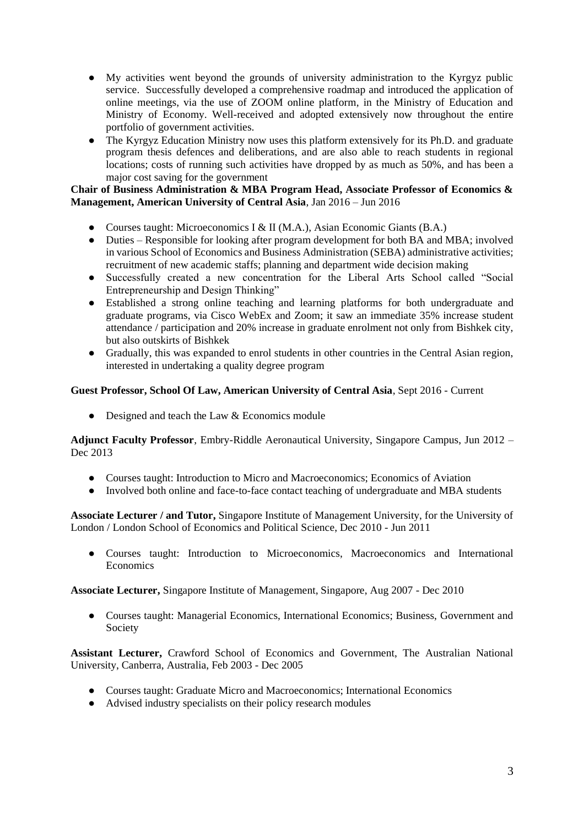- My activities went beyond the grounds of university administration to the Kyrgyz public service. Successfully developed a comprehensive roadmap and introduced the application of online meetings, via the use of ZOOM online platform, in the Ministry of Education and Ministry of Economy. Well-received and adopted extensively now throughout the entire portfolio of government activities.
- The Kyrgyz Education Ministry now uses this platform extensively for its Ph.D. and graduate program thesis defences and deliberations, and are also able to reach students in regional locations; costs of running such activities have dropped by as much as 50%, and has been a major cost saving for the government

# **Chair of Business Administration & MBA Program Head, Associate Professor of Economics & Management, American University of Central Asia**, Jan 2016 – Jun 2016

- Courses taught: Microeconomics I & II (M.A.), Asian Economic Giants (B.A.)
- Duties Responsible for looking after program development for both BA and MBA; involved in various School of Economics and Business Administration (SEBA) administrative activities; recruitment of new academic staffs; planning and department wide decision making
- Successfully created a new concentration for the Liberal Arts School called "Social Entrepreneurship and Design Thinking"
- Established a strong online teaching and learning platforms for both undergraduate and graduate programs, via Cisco WebEx and Zoom; it saw an immediate 35% increase student attendance / participation and 20% increase in graduate enrolment not only from Bishkek city, but also outskirts of Bishkek
- Gradually, this was expanded to enrol students in other countries in the Central Asian region, interested in undertaking a quality degree program

#### **Guest Professor, School Of Law, American University of Central Asia**, Sept 2016 - Current

• Designed and teach the Law & Economics module

**Adjunct Faculty Professor**, Embry-Riddle Aeronautical University, Singapore Campus, Jun 2012 – Dec 2013

- Courses taught: Introduction to Micro and Macroeconomics; Economics of Aviation
- Involved both online and face-to-face contact teaching of undergraduate and MBA students

**Associate Lecturer / and Tutor,** Singapore Institute of Management University, for the University of London / London School of Economics and Political Science, Dec 2010 - Jun 2011

● Courses taught: Introduction to Microeconomics, Macroeconomics and International **Economics** 

**Associate Lecturer,** Singapore Institute of Management, Singapore, Aug 2007 - Dec 2010

● Courses taught: Managerial Economics, International Economics; Business, Government and Society

**Assistant Lecturer,** Crawford School of Economics and Government, The Australian National University, Canberra, Australia, Feb 2003 - Dec 2005

- Courses taught: Graduate Micro and Macroeconomics; International Economics
- Advised industry specialists on their policy research modules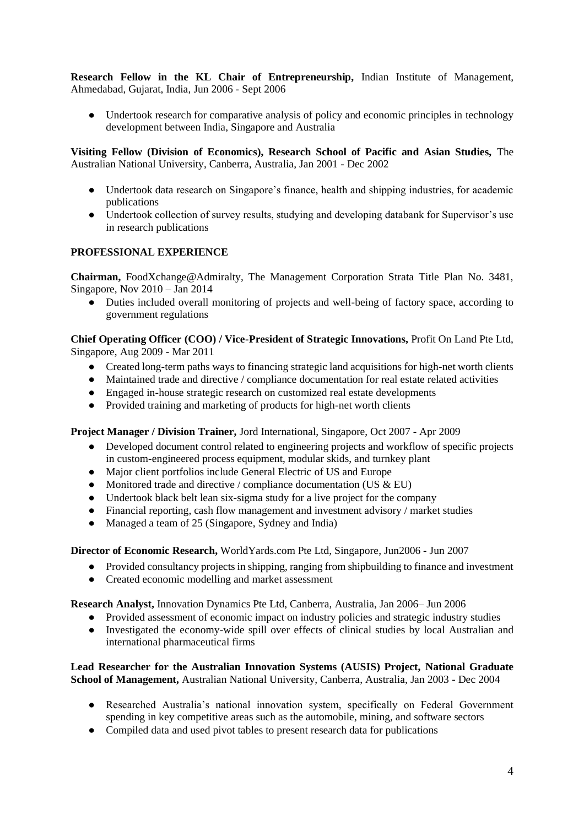**Research Fellow in the KL Chair of Entrepreneurship,** Indian Institute of Management, Ahmedabad, Gujarat, India, Jun 2006 - Sept 2006

• Undertook research for comparative analysis of policy and economic principles in technology development between India, Singapore and Australia

**Visiting Fellow (Division of Economics), Research School of Pacific and Asian Studies,** The Australian National University, Canberra, Australia, Jan 2001 - Dec 2002

- Undertook data research on Singapore's finance, health and shipping industries, for academic publications
- Undertook collection of survey results, studying and developing databank for Supervisor's use in research publications

# **PROFESSIONAL EXPERIENCE**

**Chairman,** FoodXchange@Admiralty, The Management Corporation Strata Title Plan No. 3481, Singapore, Nov 2010 – Jan 2014

● Duties included overall monitoring of projects and well-being of factory space, according to government regulations

**Chief Operating Officer (COO) / Vice-President of Strategic Innovations,** Profit On Land Pte Ltd, Singapore, Aug 2009 - Mar 2011

- Created long-term paths ways to financing strategic land acquisitions for high-net worth clients
- Maintained trade and directive / compliance documentation for real estate related activities
- Engaged in-house strategic research on customized real estate developments
- Provided training and marketing of products for high-net worth clients

#### **Project Manager / Division Trainer,** Jord International, Singapore, Oct 2007 - Apr 2009

- Developed document control related to engineering projects and workflow of specific projects in custom-engineered process equipment, modular skids, and turnkey plant
- Major client portfolios include General Electric of US and Europe
- Monitored trade and directive / compliance documentation (US  $&$  EU)
- Undertook black belt lean six-sigma study for a live project for the company
- Financial reporting, cash flow management and investment advisory / market studies
- Managed a team of 25 (Singapore, Sydney and India)

**Director of Economic Research,** WorldYards.com Pte Ltd, Singapore, Jun2006 - Jun 2007

- Provided consultancy projects in shipping, ranging from shipbuilding to finance and investment
- Created economic modelling and market assessment

**Research Analyst,** Innovation Dynamics Pte Ltd, Canberra, Australia, Jan 2006– Jun 2006

- Provided assessment of economic impact on industry policies and strategic industry studies
- Investigated the economy-wide spill over effects of clinical studies by local Australian and international pharmaceutical firms

**Lead Researcher for the Australian Innovation Systems (AUSIS) Project, National Graduate School of Management,** Australian National University, Canberra, Australia, Jan 2003 - Dec 2004

- Researched Australia's national innovation system, specifically on Federal Government spending in key competitive areas such as the automobile, mining, and software sectors
- Compiled data and used pivot tables to present research data for publications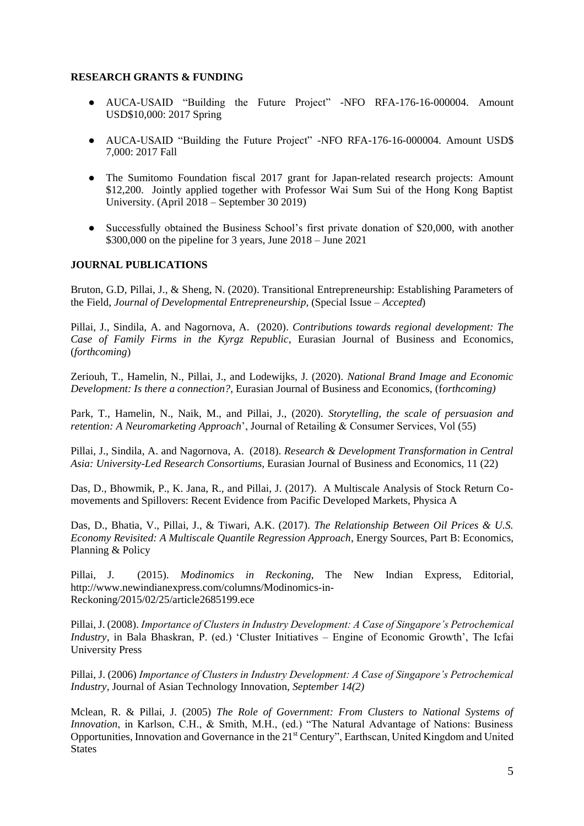## **RESEARCH GRANTS & FUNDING**

- AUCA-USAID "Building the Future Project" -NFO RFA-176-16-000004. Amount USD\$10,000: 2017 Spring
- AUCA-USAID "Building the Future Project" -NFO RFA-176-16-000004. Amount USD\$ 7,000: 2017 Fall
- The Sumitomo Foundation fiscal 2017 grant for Japan-related research projects: Amount \$12,200. Jointly applied together with Professor Wai Sum Sui of the Hong Kong Baptist University. (April 2018 – September 30 2019)
- Successfully obtained the Business School's first private donation of \$20,000, with another \$300,000 on the pipeline for 3 years, June 2018 – June 2021

## **JOURNAL PUBLICATIONS**

Bruton, G.D, Pillai, J., & Sheng, N. (2020). Transitional Entrepreneurship: Establishing Parameters of the Field, *Journal of Developmental Entrepreneurship*, (Special Issue – *Accepted*)

Pillai, J., Sindila, A. and Nagornova, A. (2020). *Contributions towards regional development: The Case of Family Firms in the Kyrgz Republic*, Eurasian Journal of Business and Economics, (*forthcoming*)

Zeriouh, T., Hamelin, N., Pillai, J., and Lodewijks, J. (2020). *National Brand Image and Economic Development: Is there a connection?*, Eurasian Journal of Business and Economics, (f*orthcoming)*

Park, T., Hamelin, N., Naik, M., and Pillai, J., (2020). *Storytelling, the scale of persuasion and retention: A Neuromarketing Approach*', Journal of Retailing & Consumer Services, Vol (55)

Pillai, J., Sindila, A. and Nagornova, A. (2018). *Research & Development Transformation in Central Asia: University-Led Research Consortiums*, Eurasian Journal of Business and Economics, 11 (22)

Das, D., Bhowmik, P., K. Jana, R., and Pillai, J. (2017). A Multiscale Analysis of Stock Return Comovements and Spillovers: Recent Evidence from Pacific Developed Markets, Physica A

Das, D., Bhatia, V., Pillai, J., & Tiwari, A.K. (2017). *The Relationship Between Oil Prices & U.S. Economy Revisited: A Multiscale Quantile Regression Approach*, Energy Sources, Part B: Economics, Planning & Policy

Pillai, J. (2015). *Modinomics in Reckoning*, The New Indian Express, Editorial, http://www.newindianexpress.com/columns/Modinomics-in-Reckoning/2015/02/25/article2685199.ece

Pillai, J. (2008). *Importance of Clusters in Industry Development: A Case of Singapore's Petrochemical Industry*, in Bala Bhaskran, P. (ed.) 'Cluster Initiatives – Engine of Economic Growth', The Icfai University Press

Pillai, J. (2006) *Importance of Clusters in Industry Development: A Case of Singapore's Petrochemical Industry*, Journal of Asian Technology Innovation, *September 14(2)*

Mclean, R. & Pillai, J. (2005) *The Role of Government: From Clusters to National Systems of Innovation*, in Karlson, C.H., & Smith, M.H., (ed.) "The Natural Advantage of Nations: Business Opportunities, Innovation and Governance in the 21<sup>st</sup> Century", Earthscan, United Kingdom and United **States**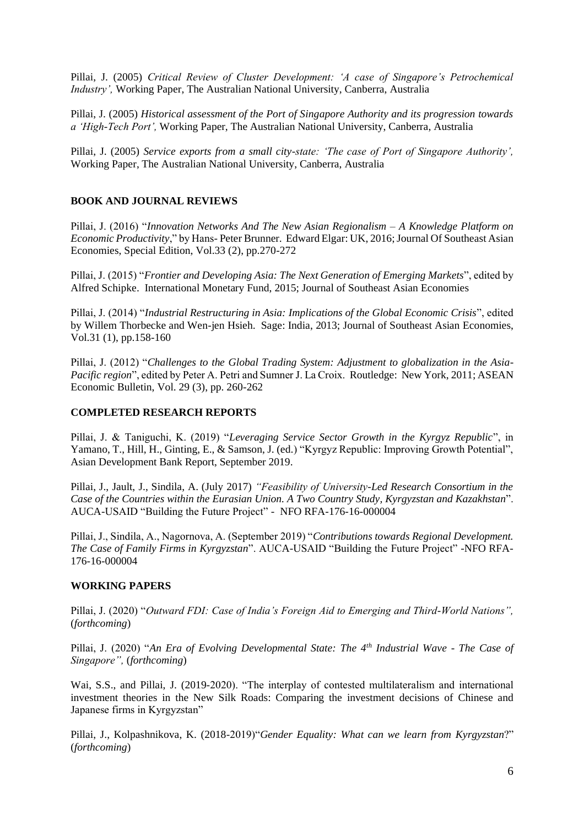Pillai, J. (2005) *Critical Review of Cluster Development: 'A case of Singapore's Petrochemical Industry',* Working Paper, The Australian National University, Canberra, Australia

Pillai, J. (2005) *Historical assessment of the Port of Singapore Authority and its progression towards a 'High-Tech Port',* Working Paper, The Australian National University, Canberra, Australia

Pillai, J. (2005) *Service exports from a small city-state: 'The case of Port of Singapore Authority',* Working Paper, The Australian National University, Canberra, Australia

### **BOOK AND JOURNAL REVIEWS**

Pillai, J. (2016) "*Innovation Networks And The New Asian Regionalism – A Knowledge Platform on Economic Productivity*," by Hans- Peter Brunner. Edward Elgar: UK, 2016; Journal Of Southeast Asian Economies, Special Edition, Vol.33 (2), pp.270-272

Pillai, J. (2015) "*Frontier and Developing Asia: The Next Generation of Emerging Markets*", edited by Alfred Schipke. International Monetary Fund, 2015; Journal of Southeast Asian Economies

Pillai, J. (2014) "*Industrial Restructuring in Asia: Implications of the Global Economic Crisis*", edited by Willem Thorbecke and Wen-jen Hsieh. Sage: India, 2013; Journal of Southeast Asian Economies, Vol.31 (1), pp.158-160

Pillai, J. (2012) "*Challenges to the Global Trading System: Adjustment to globalization in the Asia-Pacific region*", edited by Peter A. Petri and Sumner J. La Croix. Routledge: New York, 2011; ASEAN Economic Bulletin, Vol. 29 (3), pp. 260-262

#### **COMPLETED RESEARCH REPORTS**

Pillai, J. & Taniguchi, K. (2019) "*Leveraging Service Sector Growth in the Kyrgyz Republic*", in Yamano, T., Hill, H., Ginting, E., & Samson, J. (ed.) "Kyrgyz Republic: Improving Growth Potential", Asian Development Bank Report, September 2019.

Pillai, J., Jault, J., Sindila, A. (July 2017) *"Feasibility of University-Led Research Consortium in the Case of the Countries within the Eurasian Union. A Two Country Study, Kyrgyzstan and Kazakhstan*". AUCA-USAID "Building the Future Project" - NFO RFA-176-16-000004

Pillai, J., Sindila, A., Nagornova, A. (September 2019) "*Contributions towards Regional Development. The Case of Family Firms in Kyrgyzstan*". AUCA-USAID "Building the Future Project" -NFO RFA-176-16-000004

#### **WORKING PAPERS**

Pillai, J. (2020) "*Outward FDI: Case of India's Foreign Aid to Emerging and Third-World Nations",* (*forthcoming*)

Pillai, J. (2020) "*An Era of Evolving Developmental State: The 4th Industrial Wave - The Case of Singapore",* (*forthcoming*)

Wai, S.S., and Pillai, J. (2019-2020). "The interplay of contested multilateralism and international investment theories in the New Silk Roads: Comparing the investment decisions of Chinese and Japanese firms in Kyrgyzstan"

Pillai, J., Kolpashnikova, K. (2018-2019)"*Gender Equality: What can we learn from Kyrgyzstan*?" (*forthcoming*)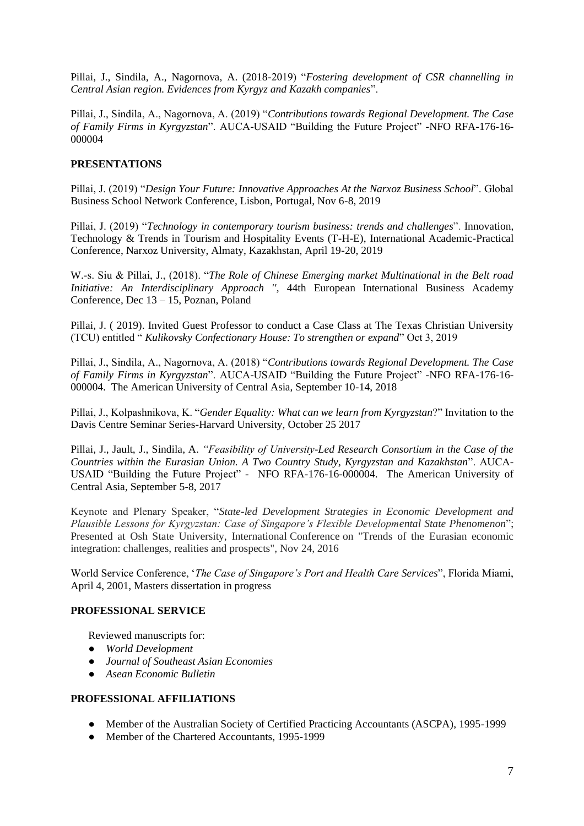Pillai, J., Sindila, A., Nagornova, A. (2018-2019) "*Fostering development of CSR channelling in Central Asian region. Evidences from Kyrgyz and Kazakh companies*".

Pillai, J., Sindila, A., Nagornova, A. (2019) "*Contributions towards Regional Development. The Case of Family Firms in Kyrgyzstan*". AUCA-USAID "Building the Future Project" -NFO RFA-176-16- 000004

# **PRESENTATIONS**

Pillai, J. (2019) "*Design Your Future: Innovative Approaches At the Narxoz Business School*". Global Business School Network Conference, Lisbon, Portugal, Nov 6-8, 2019

Pillai, J. (2019) "*Technology in contemporary tourism business: trends and challenges*". Innovation, Technology & Trends in Tourism and Hospitality Events (T-H-E), International Academic-Practical Conference, Narxoz University, Almaty, Kazakhstan, April 19-20, 2019

W.-s. Siu & Pillai, J., (2018). "*The Role of Chinese Emerging market Multinational in the Belt road Initiative: An Interdisciplinary Approach '',* 44th European International Business Academy Conference, Dec 13 – 15, Poznan, Poland

Pillai, J. ( 2019). Invited Guest Professor to conduct a Case Class at The Texas Christian University (TCU) entitled " *Kulikovsky Confectionary House: To strengthen or expand*" Oct 3, 2019

Pillai, J., Sindila, A., Nagornova, A. (2018) "*Contributions towards Regional Development. The Case of Family Firms in Kyrgyzstan*". AUCA-USAID "Building the Future Project" -NFO RFA-176-16- 000004. The American University of Central Asia, September 10-14, 2018

Pillai, J., Kolpashnikova, K. "*Gender Equality: What can we learn from Kyrgyzstan*?" Invitation to the Davis Centre Seminar Series-Harvard University, October 25 2017

Pillai, J., Jault, J., Sindila, A. *"Feasibility of University-Led Research Consortium in the Case of the Countries within the Eurasian Union. A Two Country Study, Kyrgyzstan and Kazakhstan*". AUCA-USAID "Building the Future Project" - NFO RFA-176-16-000004. The American University of Central Asia, September 5-8, 2017

Keynote and Plenary Speaker, "*State-led Development Strategies in Economic Development and Plausible Lessons for Kyrgyzstan: Case of Singapore's Flexible Developmental State Phenomenon*"; Presented at Osh State University, International Conference on "Trends of the Eurasian economic integration: challenges, realities and prospects", Nov 24, 2016

World Service Conference, '*The Case of Singapore's Port and Health Care Services*", Florida Miami, April 4, 2001, Masters dissertation in progress

#### **PROFESSIONAL SERVICE**

Reviewed manuscripts for:

- *World Development*
- *Journal of Southeast Asian Economies*
- *Asean Economic Bulletin*

#### **PROFESSIONAL AFFILIATIONS**

- Member of the Australian Society of Certified Practicing Accountants (ASCPA), 1995-1999
- Member of the Chartered Accountants, 1995-1999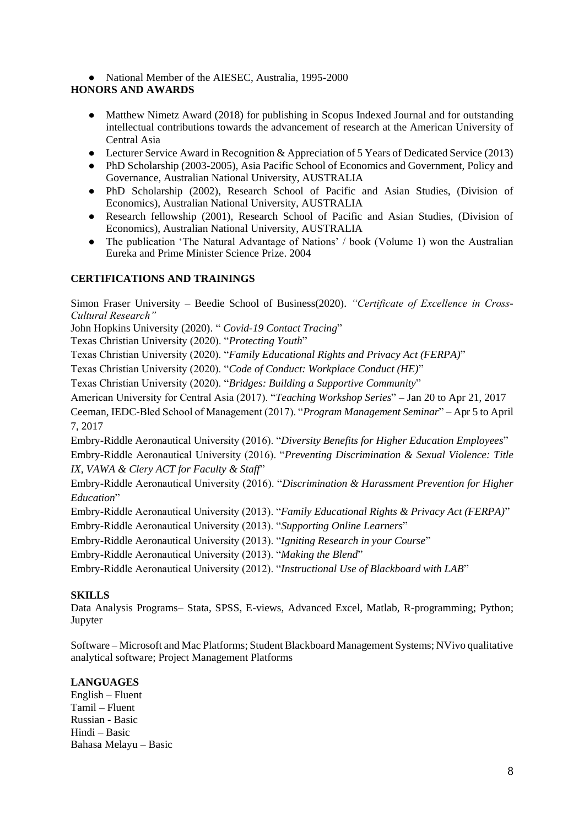• National Member of the AIESEC, Australia, 1995-2000

# **HONORS AND AWARDS**

- Matthew Nimetz Award (2018) for publishing in Scopus Indexed Journal and for outstanding intellectual contributions towards the advancement of research at the American University of Central Asia
- Lecturer Service Award in Recognition & Appreciation of 5 Years of Dedicated Service (2013)
- PhD Scholarship (2003-2005), Asia Pacific School of Economics and Government, Policy and Governance, Australian National University, AUSTRALIA
- PhD Scholarship (2002), Research School of Pacific and Asian Studies, (Division of Economics), Australian National University, AUSTRALIA
- Research fellowship (2001), Research School of Pacific and Asian Studies, (Division of Economics), Australian National University, AUSTRALIA
- The publication 'The Natural Advantage of Nations' / book (Volume 1) won the Australian Eureka and Prime Minister Science Prize. 2004

## **CERTIFICATIONS AND TRAININGS**

Simon Fraser University – Beedie School of Business(2020). *"Certificate of Excellence in Cross-Cultural Research"*

John Hopkins University (2020). " *Covid-19 Contact Tracing*"

Texas Christian University (2020). "*Protecting Youth*"

Texas Christian University (2020). "*Family Educational Rights and Privacy Act (FERPA)*"

Texas Christian University (2020). "*Code of Conduct: Workplace Conduct (HE)*"

Texas Christian University (2020). "*Bridges: Building a Supportive Community*"

American University for Central Asia (2017). "*Teaching Workshop Series*" – Jan 20 to Apr 21, 2017

Ceeman, IEDC-Bled School of Management (2017). "*Program Management Seminar*" – Apr 5 to April 7, 2017

Embry-Riddle Aeronautical University (2016). "*Diversity Benefits for Higher Education Employees*" Embry-Riddle Aeronautical University (2016). "*Preventing Discrimination & Sexual Violence: Title IX, VAWA & Clery ACT for Faculty & Staff*"

Embry-Riddle Aeronautical University (2016). "*Discrimination & Harassment Prevention for Higher Education*"

Embry-Riddle Aeronautical University (2013). "*Family Educational Rights & Privacy Act (FERPA)*"

Embry-Riddle Aeronautical University (2013). "*Supporting Online Learners*"

Embry-Riddle Aeronautical University (2013). "*Igniting Research in your Course*"

Embry-Riddle Aeronautical University (2013). "*Making the Blend*"

Embry-Riddle Aeronautical University (2012). "*Instructional Use of Blackboard with LAB*"

# **SKILLS**

Data Analysis Programs– Stata, SPSS, E-views, Advanced Excel, Matlab, R-programming; Python; Jupyter

Software – Microsoft and Mac Platforms; Student Blackboard Management Systems; NVivo qualitative analytical software; Project Management Platforms

# **LANGUAGES**

English – Fluent Tamil – Fluent Russian - Basic Hindi – Basic Bahasa Melayu – Basic